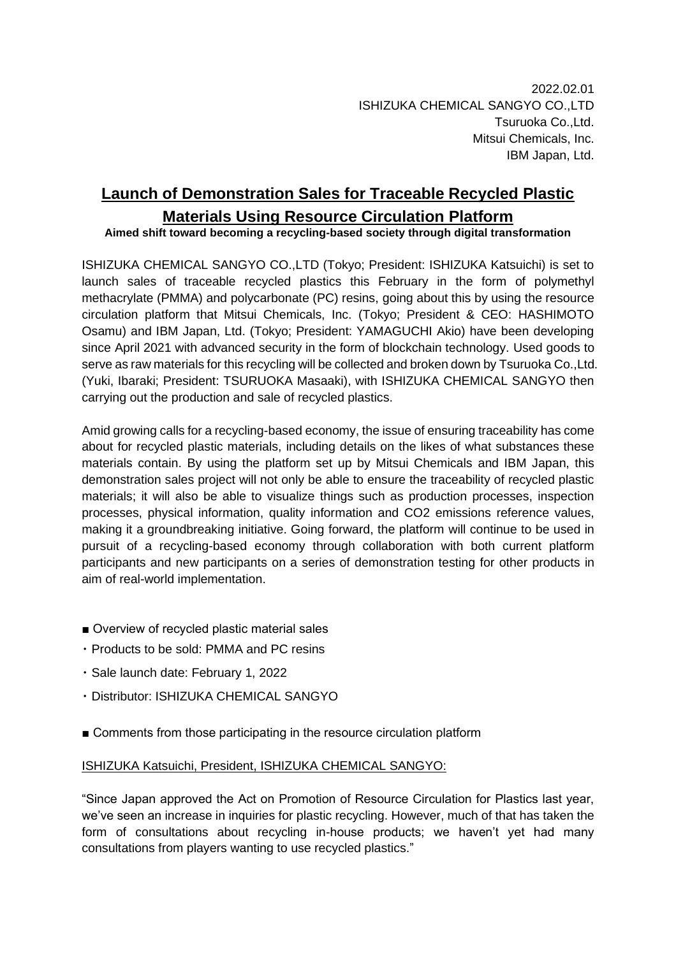# **Launch of Demonstration Sales for Traceable Recycled Plastic Materials Using Resource Circulation Platform**

# **Aimed shift toward becoming a recycling-based society through digital transformation**

ISHIZUKA CHEMICAL SANGYO CO.,LTD (Tokyo; President: ISHIZUKA Katsuichi) is set to launch sales of traceable recycled plastics this February in the form of polymethyl methacrylate (PMMA) and polycarbonate (PC) resins, going about this by using the resource circulation platform that Mitsui Chemicals, Inc. (Tokyo; President & CEO: HASHIMOTO Osamu) and IBM Japan, Ltd. (Tokyo; President: YAMAGUCHI Akio) have been developing since April 2021 with advanced security in the form of blockchain technology. Used goods to serve as raw materials for this recycling will be collected and broken down by Tsuruoka Co.,Ltd. (Yuki, Ibaraki; President: TSURUOKA Masaaki), with ISHIZUKA CHEMICAL SANGYO then carrying out the production and sale of recycled plastics.

Amid growing calls for a recycling-based economy, the issue of ensuring traceability has come about for recycled plastic materials, including details on the likes of what substances these materials contain. By using the platform set up by Mitsui Chemicals and IBM Japan, this demonstration sales project will not only be able to ensure the traceability of recycled plastic materials; it will also be able to visualize things such as production processes, inspection processes, physical information, quality information and CO2 emissions reference values, making it a groundbreaking initiative. Going forward, the platform will continue to be used in pursuit of a recycling-based economy through collaboration with both current platform participants and new participants on a series of demonstration testing for other products in aim of real-world implementation.

- Overview of recycled plastic material sales
- ・ Products to be sold: PMMA and PC resins
- ・ Sale launch date: February 1, 2022
- ・ Distributor: ISHIZUKA CHEMICAL SANGYO
- Comments from those participating in the resource circulation platform

### ISHIZUKA Katsuichi, President, ISHIZUKA CHEMICAL SANGYO:

"Since Japan approved the Act on Promotion of Resource Circulation for Plastics last year, we've seen an increase in inquiries for plastic recycling. However, much of that has taken the form of consultations about recycling in-house products; we haven't yet had many consultations from players wanting to use recycled plastics."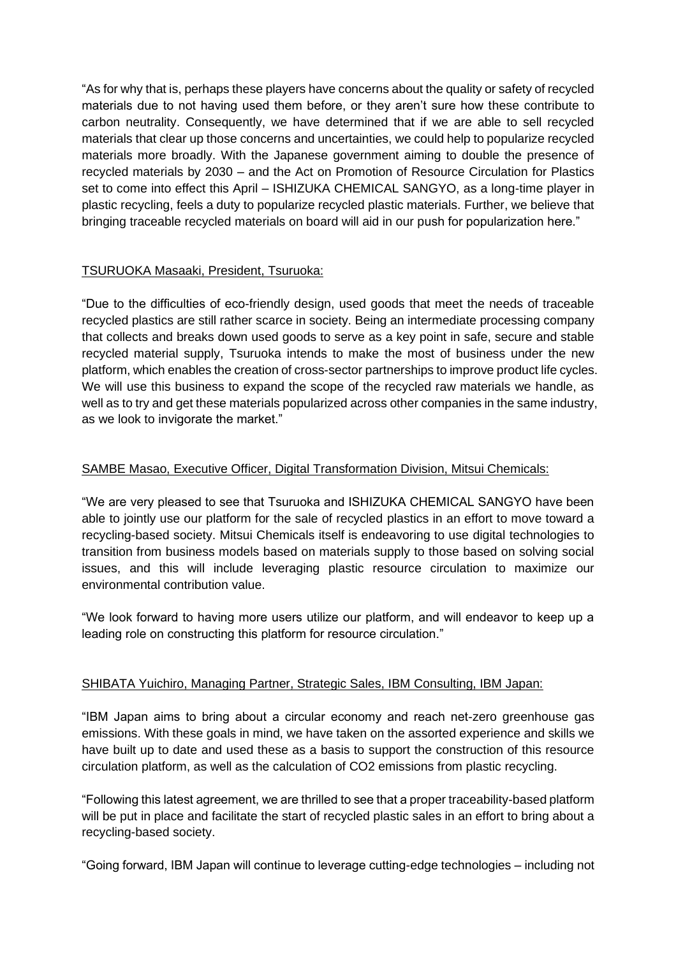"As for why that is, perhaps these players have concerns about the quality or safety of recycled materials due to not having used them before, or they aren't sure how these contribute to carbon neutrality. Consequently, we have determined that if we are able to sell recycled materials that clear up those concerns and uncertainties, we could help to popularize recycled materials more broadly. With the Japanese government aiming to double the presence of recycled materials by 2030 – and the Act on Promotion of Resource Circulation for Plastics set to come into effect this April – ISHIZUKA CHEMICAL SANGYO, as a long-time player in plastic recycling, feels a duty to popularize recycled plastic materials. Further, we believe that bringing traceable recycled materials on board will aid in our push for popularization here."

## TSURUOKA Masaaki, President, Tsuruoka:

"Due to the difficulties of eco-friendly design, used goods that meet the needs of traceable recycled plastics are still rather scarce in society. Being an intermediate processing company that collects and breaks down used goods to serve as a key point in safe, secure and stable recycled material supply, Tsuruoka intends to make the most of business under the new platform, which enables the creation of cross-sector partnerships to improve product life cycles. We will use this business to expand the scope of the recycled raw materials we handle, as well as to try and get these materials popularized across other companies in the same industry, as we look to invigorate the market."

### SAMBE Masao, Executive Officer, Digital Transformation Division, Mitsui Chemicals:

"We are very pleased to see that Tsuruoka and ISHIZUKA CHEMICAL SANGYO have been able to jointly use our platform for the sale of recycled plastics in an effort to move toward a recycling-based society. Mitsui Chemicals itself is endeavoring to use digital technologies to transition from business models based on materials supply to those based on solving social issues, and this will include leveraging plastic resource circulation to maximize our environmental contribution value.

"We look forward to having more users utilize our platform, and will endeavor to keep up a leading role on constructing this platform for resource circulation."

### SHIBATA Yuichiro, Managing Partner, Strategic Sales, IBM Consulting, IBM Japan:

"IBM Japan aims to bring about a circular economy and reach net-zero greenhouse gas emissions. With these goals in mind, we have taken on the assorted experience and skills we have built up to date and used these as a basis to support the construction of this resource circulation platform, as well as the calculation of CO2 emissions from plastic recycling.

"Following this latest agreement, we are thrilled to see that a proper traceability-based platform will be put in place and facilitate the start of recycled plastic sales in an effort to bring about a recycling-based society.

"Going forward, IBM Japan will continue to leverage cutting-edge technologies – including not